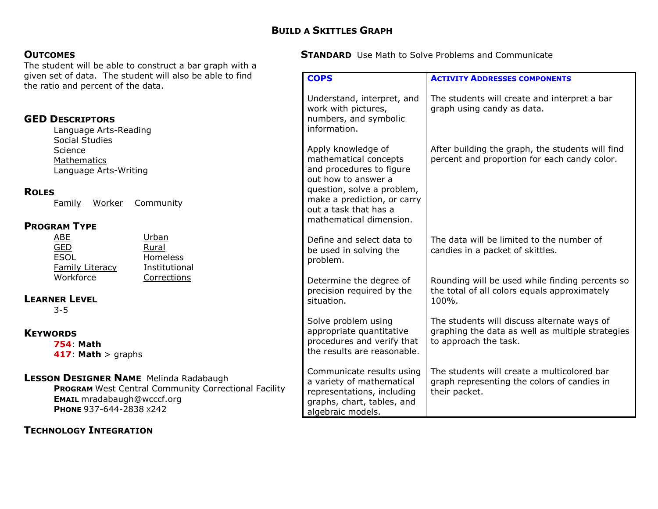**COPS** 

#### **OUTCOMES**

The student will be able to construct a bar graph with a given set of data. The student will also be able to find the ratio and percent of the data.

| <b>GED DESCRIPTORS</b><br>Language Arts-Reading<br>Social Studies                                                                                                            | Understand, interpret, and<br>work with pictures,<br>numbers, and symbolic<br>information.                                                                                           | The students will create and interpret a bar<br>graph using candy as data.                                               |
|------------------------------------------------------------------------------------------------------------------------------------------------------------------------------|--------------------------------------------------------------------------------------------------------------------------------------------------------------------------------------|--------------------------------------------------------------------------------------------------------------------------|
| Science<br>Mathematics<br>Language Arts-Writing<br><b>ROLES</b><br>Community<br><u>Worker</u><br>Family                                                                      | Apply knowledge of<br>mathematical concepts<br>and procedures to figure<br>out how to answer a<br>question, solve a problem,<br>make a prediction, or carry<br>out a task that has a | After building the graph, the students will find<br>percent and proportion for each candy color.                         |
| <b>PROGRAM TYPE</b>                                                                                                                                                          | mathematical dimension.                                                                                                                                                              |                                                                                                                          |
| Urban<br><b>ABE</b><br><b>GED</b><br>Rural<br><b>ESOL</b><br><b>Homeless</b><br><b>Family Literacy</b><br>Institutional                                                      | Define and select data to<br>be used in solving the<br>problem.                                                                                                                      | The data will be limited to the number of<br>candies in a packet of skittles.                                            |
| Workforce<br>Corrections<br><b>LEARNER LEVEL</b><br>$3 - 5$                                                                                                                  | Determine the degree of<br>precision required by the<br>situation.                                                                                                                   | Rounding will be used while finding percents so<br>the total of all colors equals approximately<br>100%.                 |
| <b>KEYWORDS</b><br><b>754 Math</b><br>417: Math $>$ graphs                                                                                                                   | Solve problem using<br>appropriate quantitative<br>procedures and verify that<br>the results are reasonable.                                                                         | The students will discuss alternate ways of<br>graphing the data as well as multiple strategies<br>to approach the task. |
| <b>LESSON DESIGNER NAME</b> Melinda Radabaugh<br><b>PROGRAM</b> West Central Community Correctional Facility<br><b>EMAIL</b> mradabaugh@wcccf.org<br>PHONE 937-644-2838 x242 | Communicate results using<br>a variety of mathematical<br>representations, including<br>graphs, chart, tables, and<br>algebraic models.                                              | The students will create a multicolored bar<br>graph representing the colors of candies in<br>their packet.              |

### TECHNOLOGY INTEGRATION

**STANDARD** Use Math to Solve Problems and Communicate

ACTIVITY ADDRESSES COMPONENTS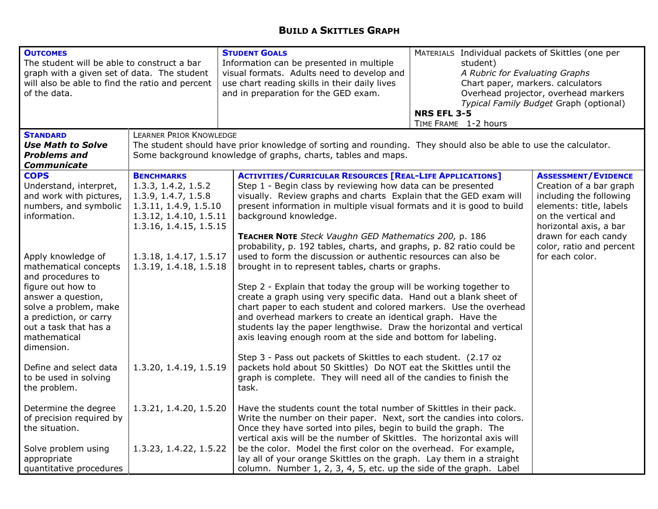### BUILD A SKITTLES GRAPH

| <b>OUTCOMES</b><br>The student will be able to construct a bar<br>graph with a given set of data. The student<br>will also be able to find the ratio and percent<br>of the data.                                                                                                         |                                                                                                                                                                                                                     | <b>STUDENT GOALS</b><br>Information can be presented in multiple<br>visual formats. Adults need to develop and<br>use chart reading skills in their daily lives<br>and in preparation for the GED exam.                                                                                                                                                                                                                                                                                                                                                                                                                                                                                                                                                           | MATERIALS Individual packets of Skittles (one per<br>student)<br>A Rubric for Evaluating Graphs<br>Chart paper, markers. calculators<br>Overhead projector, overhead markers<br>Typical Family Budget Graph (optional)<br><b>NRS EFL 3-5</b><br>TIME FRAME 1-2 hours |                                                                                                                                                                                                                  |
|------------------------------------------------------------------------------------------------------------------------------------------------------------------------------------------------------------------------------------------------------------------------------------------|---------------------------------------------------------------------------------------------------------------------------------------------------------------------------------------------------------------------|-------------------------------------------------------------------------------------------------------------------------------------------------------------------------------------------------------------------------------------------------------------------------------------------------------------------------------------------------------------------------------------------------------------------------------------------------------------------------------------------------------------------------------------------------------------------------------------------------------------------------------------------------------------------------------------------------------------------------------------------------------------------|----------------------------------------------------------------------------------------------------------------------------------------------------------------------------------------------------------------------------------------------------------------------|------------------------------------------------------------------------------------------------------------------------------------------------------------------------------------------------------------------|
| <b>STANDARD</b><br><b>Use Math to Solve</b><br><b>Problems and</b><br>Communicate                                                                                                                                                                                                        | <b>LEARNER PRIOR KNOWLEDGE</b><br>The student should have prior knowledge of sorting and rounding. They should also be able to use the calculator.<br>Some background knowledge of graphs, charts, tables and maps. |                                                                                                                                                                                                                                                                                                                                                                                                                                                                                                                                                                                                                                                                                                                                                                   |                                                                                                                                                                                                                                                                      |                                                                                                                                                                                                                  |
| <b>COPS</b><br>Understand, interpret,<br>and work with pictures,<br>numbers, and symbolic<br>information.                                                                                                                                                                                | <b>BENCHMARKS</b><br>1.3.3, 1.4.2, 1.5.2<br>1.3.9, 1.4.7, 1.5.8<br>1.3.11, 1.4.9, 1.5.10<br>1.3.12, 1.4.10, 1.5.11<br>1.3.16, 1.4.15, 1.5.15                                                                        | <b>ACTIVITIES/CURRICULAR RESOURCES [REAL-LIFE APPLICATIONS]</b><br>Step 1 - Begin class by reviewing how data can be presented<br>visually. Review graphs and charts Explain that the GED exam will<br>present information in multiple visual formats and it is good to build<br>background knowledge.<br>TEACHER NOTE Steck Vaughn GED Mathematics 200, p. 186<br>probability, p. 192 tables, charts, and graphs, p. 82 ratio could be                                                                                                                                                                                                                                                                                                                           |                                                                                                                                                                                                                                                                      | <b>ASSESSMENT/EVIDENCE</b><br>Creation of a bar graph<br>including the following<br>elements: title, labels<br>on the vertical and<br>horizontal axis, a bar<br>drawn for each candy<br>color, ratio and percent |
| Apply knowledge of<br>mathematical concepts<br>and procedures to<br>figure out how to<br>answer a question,<br>solve a problem, make<br>a prediction, or carry<br>out a task that has a<br>mathematical<br>dimension.<br>Define and select data<br>to be used in solving<br>the problem. | 1.3.18, 1.4.17, 1.5.17<br>1.3.19, 1.4.18, 1.5.18<br>1.3.20, 1.4.19, 1.5.19                                                                                                                                          | used to form the discussion or authentic resources can also be<br>brought in to represent tables, charts or graphs.<br>Step 2 - Explain that today the group will be working together to<br>create a graph using very specific data. Hand out a blank sheet of<br>chart paper to each student and colored markers. Use the overhead<br>and overhead markers to create an identical graph. Have the<br>students lay the paper lengthwise. Draw the horizontal and vertical<br>axis leaving enough room at the side and bottom for labeling.<br>Step 3 - Pass out packets of Skittles to each student. (2.17 oz<br>packets hold about 50 Skittles) Do NOT eat the Skittles until the<br>graph is complete. They will need all of the candies to finish the<br>task. |                                                                                                                                                                                                                                                                      | for each color.                                                                                                                                                                                                  |
| Determine the degree<br>of precision required by<br>the situation.<br>Solve problem using<br>appropriate<br>quantitative procedures                                                                                                                                                      | 1.3.21, 1.4.20, 1.5.20<br>1.3.23, 1.4.22, 1.5.22                                                                                                                                                                    | Have the students count the total number of Skittles in their pack.<br>Write the number on their paper. Next, sort the candies into colors.<br>Once they have sorted into piles, begin to build the graph. The<br>vertical axis will be the number of Skittles. The horizontal axis will<br>be the color. Model the first color on the overhead. For example,<br>lay all of your orange Skittles on the graph. Lay them in a straight<br>column. Number 1, 2, 3, 4, 5, etc. up the side of the graph. Label                                                                                                                                                                                                                                                       |                                                                                                                                                                                                                                                                      |                                                                                                                                                                                                                  |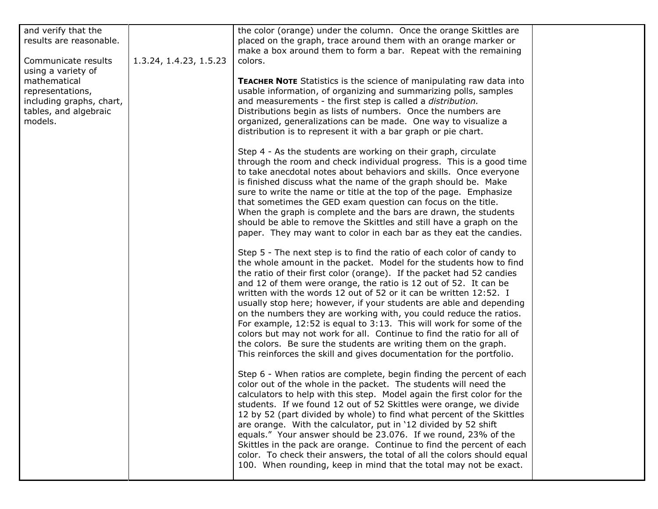| and verify that the<br>results are reasonable.<br>Communicate results<br>using a variety of<br>mathematical<br>representations,<br>including graphs, chart,<br>tables, and algebraic<br>models. | 1.3.24, 1.4.23, 1.5.23 | the color (orange) under the column. Once the orange Skittles are<br>placed on the graph, trace around them with an orange marker or<br>make a box around them to form a bar. Repeat with the remaining<br>colors.                                                                                                                                                                                                                                                                                                                                                                                                                                                                                                                                                                                     |  |
|-------------------------------------------------------------------------------------------------------------------------------------------------------------------------------------------------|------------------------|--------------------------------------------------------------------------------------------------------------------------------------------------------------------------------------------------------------------------------------------------------------------------------------------------------------------------------------------------------------------------------------------------------------------------------------------------------------------------------------------------------------------------------------------------------------------------------------------------------------------------------------------------------------------------------------------------------------------------------------------------------------------------------------------------------|--|
|                                                                                                                                                                                                 |                        | TEACHER NOTE Statistics is the science of manipulating raw data into<br>usable information, of organizing and summarizing polls, samples<br>and measurements - the first step is called a distribution.<br>Distributions begin as lists of numbers. Once the numbers are<br>organized, generalizations can be made. One way to visualize a<br>distribution is to represent it with a bar graph or pie chart.                                                                                                                                                                                                                                                                                                                                                                                           |  |
|                                                                                                                                                                                                 |                        | Step 4 - As the students are working on their graph, circulate<br>through the room and check individual progress. This is a good time<br>to take anecdotal notes about behaviors and skills. Once everyone<br>is finished discuss what the name of the graph should be. Make<br>sure to write the name or title at the top of the page. Emphasize<br>that sometimes the GED exam question can focus on the title.<br>When the graph is complete and the bars are drawn, the students<br>should be able to remove the Skittles and still have a graph on the<br>paper. They may want to color in each bar as they eat the candies.                                                                                                                                                                      |  |
|                                                                                                                                                                                                 |                        | Step 5 - The next step is to find the ratio of each color of candy to<br>the whole amount in the packet. Model for the students how to find<br>the ratio of their first color (orange). If the packet had 52 candies<br>and 12 of them were orange, the ratio is 12 out of 52. It can be<br>written with the words 12 out of 52 or it can be written 12:52. I<br>usually stop here; however, if your students are able and depending<br>on the numbers they are working with, you could reduce the ratios.<br>For example, 12:52 is equal to 3:13. This will work for some of the<br>colors but may not work for all. Continue to find the ratio for all of<br>the colors. Be sure the students are writing them on the graph.<br>This reinforces the skill and gives documentation for the portfolio. |  |
|                                                                                                                                                                                                 |                        | Step 6 - When ratios are complete, begin finding the percent of each<br>color out of the whole in the packet. The students will need the<br>calculators to help with this step. Model again the first color for the<br>students. If we found 12 out of 52 Skittles were orange, we divide<br>12 by 52 (part divided by whole) to find what percent of the Skittles<br>are orange. With the calculator, put in '12 divided by 52 shift<br>equals." Your answer should be 23.076. If we round, 23% of the<br>Skittles in the pack are orange. Continue to find the percent of each<br>color. To check their answers, the total of all the colors should equal<br>100. When rounding, keep in mind that the total may not be exact.                                                                       |  |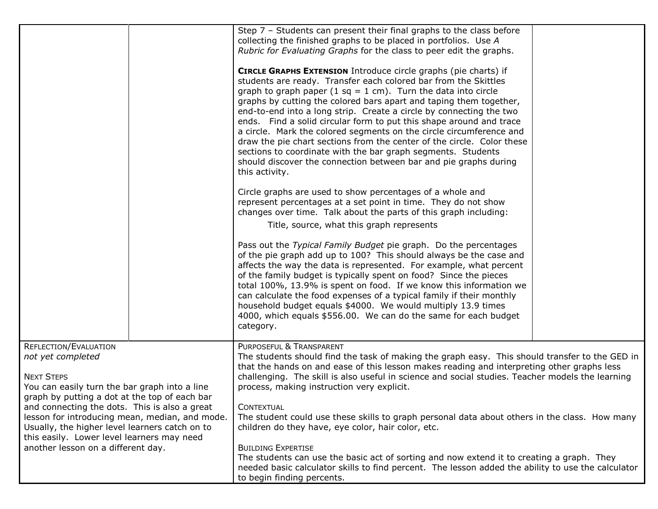|                                                                                                 |  | Step 7 - Students can present their final graphs to the class before                                                                                |  |  |
|-------------------------------------------------------------------------------------------------|--|-----------------------------------------------------------------------------------------------------------------------------------------------------|--|--|
|                                                                                                 |  | collecting the finished graphs to be placed in portfolios. Use A                                                                                    |  |  |
|                                                                                                 |  | Rubric for Evaluating Graphs for the class to peer edit the graphs.                                                                                 |  |  |
|                                                                                                 |  |                                                                                                                                                     |  |  |
|                                                                                                 |  | CIRCLE GRAPHS EXTENSION Introduce circle graphs (pie charts) if                                                                                     |  |  |
|                                                                                                 |  | students are ready. Transfer each colored bar from the Skittles                                                                                     |  |  |
|                                                                                                 |  | graph to graph paper (1 sq = 1 cm). Turn the data into circle                                                                                       |  |  |
|                                                                                                 |  | graphs by cutting the colored bars apart and taping them together,                                                                                  |  |  |
|                                                                                                 |  | end-to-end into a long strip. Create a circle by connecting the two                                                                                 |  |  |
|                                                                                                 |  | ends. Find a solid circular form to put this shape around and trace                                                                                 |  |  |
|                                                                                                 |  | a circle. Mark the colored segments on the circle circumference and                                                                                 |  |  |
|                                                                                                 |  | draw the pie chart sections from the center of the circle. Color these                                                                              |  |  |
|                                                                                                 |  | sections to coordinate with the bar graph segments. Students                                                                                        |  |  |
|                                                                                                 |  | should discover the connection between bar and pie graphs during                                                                                    |  |  |
|                                                                                                 |  | this activity.                                                                                                                                      |  |  |
|                                                                                                 |  |                                                                                                                                                     |  |  |
|                                                                                                 |  | Circle graphs are used to show percentages of a whole and                                                                                           |  |  |
|                                                                                                 |  | represent percentages at a set point in time. They do not show                                                                                      |  |  |
|                                                                                                 |  | changes over time. Talk about the parts of this graph including:                                                                                    |  |  |
|                                                                                                 |  | Title, source, what this graph represents                                                                                                           |  |  |
|                                                                                                 |  | Pass out the Typical Family Budget pie graph. Do the percentages                                                                                    |  |  |
|                                                                                                 |  | of the pie graph add up to 100? This should always be the case and                                                                                  |  |  |
|                                                                                                 |  | affects the way the data is represented. For example, what percent                                                                                  |  |  |
|                                                                                                 |  | of the family budget is typically spent on food? Since the pieces                                                                                   |  |  |
|                                                                                                 |  | total 100%, 13.9% is spent on food. If we know this information we                                                                                  |  |  |
|                                                                                                 |  | can calculate the food expenses of a typical family if their monthly                                                                                |  |  |
|                                                                                                 |  | household budget equals \$4000. We would multiply 13.9 times                                                                                        |  |  |
|                                                                                                 |  | 4000, which equals \$556.00. We can do the same for each budget                                                                                     |  |  |
|                                                                                                 |  | category.                                                                                                                                           |  |  |
| REFLECTION/EVALUATION                                                                           |  | PURPOSEFUL & TRANSPARENT                                                                                                                            |  |  |
| not yet completed                                                                               |  | The students should find the task of making the graph easy. This should transfer to the GED in                                                      |  |  |
|                                                                                                 |  | that the hands on and ease of this lesson makes reading and interpreting other graphs less                                                          |  |  |
| <b>NEXT STEPS</b>                                                                               |  | challenging. The skill is also useful in science and social studies. Teacher models the learning                                                    |  |  |
| You can easily turn the bar graph into a line                                                   |  | process, making instruction very explicit.                                                                                                          |  |  |
| graph by putting a dot at the top of each bar                                                   |  |                                                                                                                                                     |  |  |
| and connecting the dots. This is also a great<br>lesson for introducing mean, median, and mode. |  | <b>CONTEXTUAL</b>                                                                                                                                   |  |  |
| Usually, the higher level learners catch on to                                                  |  | The student could use these skills to graph personal data about others in the class. How many<br>children do they have, eye color, hair color, etc. |  |  |
| this easily. Lower level learners may need                                                      |  |                                                                                                                                                     |  |  |
| another lesson on a different day.                                                              |  | <b>BUILDING EXPERTISE</b>                                                                                                                           |  |  |
|                                                                                                 |  | The students can use the basic act of sorting and now extend it to creating a graph. They                                                           |  |  |
|                                                                                                 |  | needed basic calculator skills to find percent. The lesson added the ability to use the calculator                                                  |  |  |
|                                                                                                 |  | to begin finding percents.                                                                                                                          |  |  |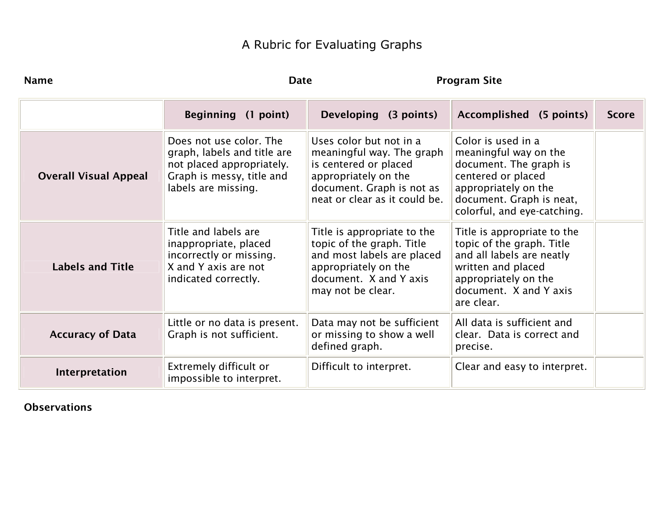# A Rubric for Evaluating Graphs

| <b>Name</b>                  |                                                                                                                                         | <b>Program Site</b><br><b>Date</b>                                                                                                                                  |                                                                                                                                                                                |              |
|------------------------------|-----------------------------------------------------------------------------------------------------------------------------------------|---------------------------------------------------------------------------------------------------------------------------------------------------------------------|--------------------------------------------------------------------------------------------------------------------------------------------------------------------------------|--------------|
|                              | Beginning (1 point)                                                                                                                     | Developing (3 points)                                                                                                                                               | Accomplished (5 points)                                                                                                                                                        | <b>Score</b> |
| <b>Overall Visual Appeal</b> | Does not use color. The<br>graph, labels and title are<br>not placed appropriately.<br>Graph is messy, title and<br>labels are missing. | Uses color but not in a<br>meaningful way. The graph<br>is centered or placed<br>appropriately on the<br>document. Graph is not as<br>neat or clear as it could be. | Color is used in a<br>meaningful way on the<br>document. The graph is<br>centered or placed<br>appropriately on the<br>document. Graph is neat,<br>colorful, and eye-catching. |              |
| <b>Labels and Title</b>      | Title and labels are<br>inappropriate, placed<br>incorrectly or missing.<br>X and Y axis are not<br>indicated correctly.                | Title is appropriate to the<br>topic of the graph. Title<br>and most labels are placed<br>appropriately on the<br>document. X and Y axis<br>may not be clear.       | Title is appropriate to the<br>topic of the graph. Title<br>and all labels are neatly<br>written and placed<br>appropriately on the<br>document. X and Y axis<br>are clear.    |              |
| <b>Accuracy of Data</b>      | Little or no data is present.<br>Graph is not sufficient.                                                                               | Data may not be sufficient<br>or missing to show a well<br>defined graph.                                                                                           | All data is sufficient and<br>clear. Data is correct and<br>precise.                                                                                                           |              |
| Interpretation               | Extremely difficult or<br>impossible to interpret.                                                                                      | Difficult to interpret.                                                                                                                                             | Clear and easy to interpret.                                                                                                                                                   |              |

## Observations